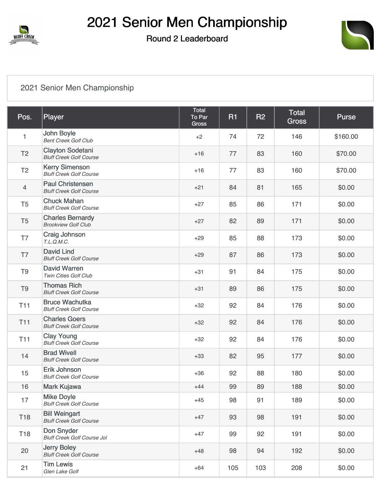



#### [2021 Senior Men Championship](https://cdn2.golfgenius.com/v2tournaments/7694008773312033923?called_from=&round_index=2)

| Pos.            | Player                                                    | <b>Total</b><br>To Par<br>Gross | <b>R1</b> | <b>R2</b> | Total<br><b>Gross</b> | <b>Purse</b> |
|-----------------|-----------------------------------------------------------|---------------------------------|-----------|-----------|-----------------------|--------------|
| $\mathbf{1}$    | John Boyle<br><b>Bent Creek Golf Club</b>                 | $+2$                            | 74        | 72        | 146                   | \$160.00     |
| T <sub>2</sub>  | <b>Clayton Sodetani</b><br><b>Bluff Creek Golf Course</b> | $+16$                           | 77        | 83        | 160                   | \$70.00      |
| T <sub>2</sub>  | <b>Kerry Simenson</b><br><b>Bluff Creek Golf Course</b>   | $+16$                           | 77        | 83        | 160                   | \$70.00      |
| $\overline{4}$  | <b>Paul Christensen</b><br><b>Bluff Creek Golf Course</b> | $+21$                           | 84        | 81        | 165                   | \$0.00       |
| T <sub>5</sub>  | <b>Chuck Mahan</b><br><b>Bluff Creek Golf Course</b>      | $+27$                           | 85        | 86        | 171                   | \$0.00       |
| T <sub>5</sub>  | <b>Charles Bernardy</b><br><b>Brookview Golf Club</b>     | $+27$                           | 82        | 89        | 171                   | \$0.00       |
| T7              | <b>Craig Johnson</b><br>T.L.Q.M.C.                        | $+29$                           | 85        | 88        | 173                   | \$0.00       |
| T7              | <b>David Lind</b><br><b>Bluff Creek Golf Course</b>       | $+29$                           | 87        | 86        | 173                   | \$0.00       |
| T <sub>9</sub>  | David Warren<br>Twin Cities Golf Club                     | $+31$                           | 91        | 84        | 175                   | \$0.00       |
| T <sub>9</sub>  | <b>Thomas Rich</b><br><b>Bluff Creek Golf Course</b>      | $+31$                           | 89        | 86        | 175                   | \$0.00       |
| <b>T11</b>      | <b>Bruce Wachutka</b><br><b>Bluff Creek Golf Course</b>   | $+32$                           | 92        | 84        | 176                   | \$0.00       |
| <b>T11</b>      | <b>Charles Goers</b><br><b>Bluff Creek Golf Course</b>    | $+32$                           | 92        | 84        | 176                   | \$0.00       |
| <b>T11</b>      | <b>Clay Young</b><br><b>Bluff Creek Golf Course</b>       | $+32$                           | 92        | 84        | 176                   | \$0.00       |
| 14              | <b>Brad Wivell</b><br><b>Bluff Creek Golf Course</b>      | $+33$                           | 82        | 95        | 177                   | \$0.00       |
| 15              | Erik Johnson<br><b>Bluff Creek Golf Course</b>            | $+36$                           | 92        | 88        | 180                   | \$0.00       |
| 16              | Mark Kujawa                                               | $+44$                           | 99        | 89        | 188                   | \$0.00       |
| 17              | <b>Mike Doyle</b><br><b>Bluff Creek Golf Course</b>       | $+45$                           | 98        | 91        | 189                   | \$0.00       |
| T <sub>18</sub> | <b>Bill Weingart</b><br><b>Bluff Creek Golf Course</b>    | $+47$                           | 93        | 98        | 191                   | \$0.00       |
| T18             | Don Snyder<br><b>Bluff Creek Golf Course Jol</b>          | $+47$                           | 99        | 92        | 191                   | \$0.00       |
| 20              | <b>Jerry Boley</b><br><b>Bluff Creek Golf Course</b>      | $+48$                           | 98        | 94        | 192                   | \$0.00       |
| 21              | <b>Tim Lewis</b><br>Glen Lake Golf                        | $+64$                           | 105       | 103       | 208                   | \$0.00       |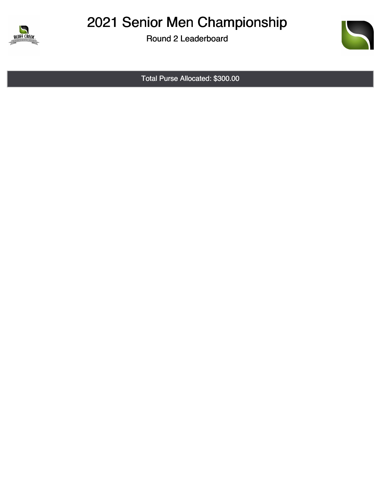

## 2021 Senior Men Championship

Round 2 Leaderboard



Total Purse Allocated: \$300.00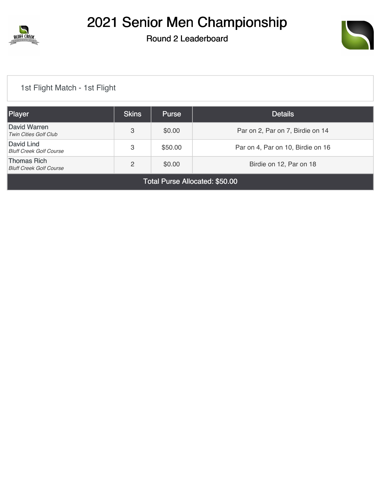



#### [1st Flight Match - 1st Flight](https://cdn2.golfgenius.com/v2tournaments/7705161871036298714?called_from=&round_index=2)

| Player                                               | <b>Skins</b>   | <b>Purse</b> | <b>Details</b>                    |  |  |  |
|------------------------------------------------------|----------------|--------------|-----------------------------------|--|--|--|
| David Warren<br><b>Twin Cities Golf Club</b>         | 3              | \$0.00       | Par on 2, Par on 7, Birdie on 14  |  |  |  |
| David Lind<br><b>Bluff Creek Golf Course</b>         | 3              | \$50.00      | Par on 4, Par on 10, Birdie on 16 |  |  |  |
| <b>Thomas Rich</b><br><b>Bluff Creek Golf Course</b> | $\overline{2}$ | \$0.00       | Birdie on 12, Par on 18           |  |  |  |
| Total Purse Allocated: \$50.00                       |                |              |                                   |  |  |  |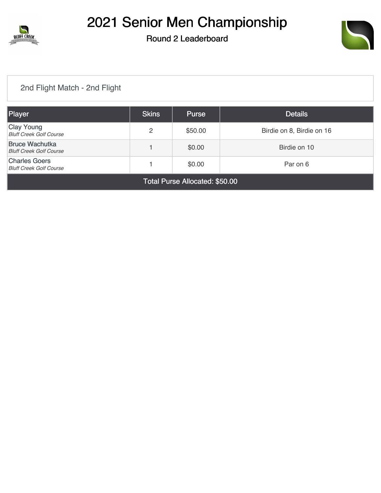



#### [2nd Flight Match - 2nd Flight](https://cdn2.golfgenius.com/v2tournaments/7705162927329818075?called_from=&round_index=2)

| Player                                                                       | <b>Skins</b> | <b>Purse</b> | <b>Details</b>            |  |  |
|------------------------------------------------------------------------------|--------------|--------------|---------------------------|--|--|
| <b>Clay Young</b><br><b>Bluff Creek Golf Course</b>                          | 2            | \$50.00      | Birdie on 8, Birdie on 16 |  |  |
| <b>Bruce Wachutka</b><br><b>Bluff Creek Golf Course</b>                      |              | \$0.00       | Birdie on 10              |  |  |
| <b>Charles Goers</b><br>\$0.00<br>Par on 6<br><b>Bluff Creek Golf Course</b> |              |              |                           |  |  |
| Total Purse Allocated: \$50.00                                               |              |              |                           |  |  |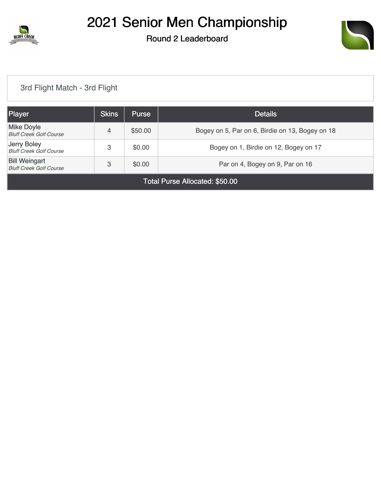



#### [3rd Flight Match - 3rd Flight](https://cdn2.golfgenius.com/v2tournaments/7705163857995544028?called_from=&round_index=2)

| Player                                                                                                   | <b>Skins</b> | <b>Purse</b> | <b>Details</b>                                  |  |  |
|----------------------------------------------------------------------------------------------------------|--------------|--------------|-------------------------------------------------|--|--|
| <b>Mike Doyle</b><br><b>Bluff Creek Golf Course</b>                                                      | 4            | \$50.00      | Bogey on 5, Par on 6, Birdie on 13, Bogey on 18 |  |  |
| Jerry Boley<br><b>Bluff Creek Golf Course</b>                                                            | 3            | \$0.00       | Bogey on 1, Birdie on 12, Bogey on 17           |  |  |
| <b>Bill Weingart</b><br>\$0.00<br>3<br>Par on 4, Bogey on 9, Par on 16<br><b>Bluff Creek Golf Course</b> |              |              |                                                 |  |  |
| Total Purse Allocated: \$50.00                                                                           |              |              |                                                 |  |  |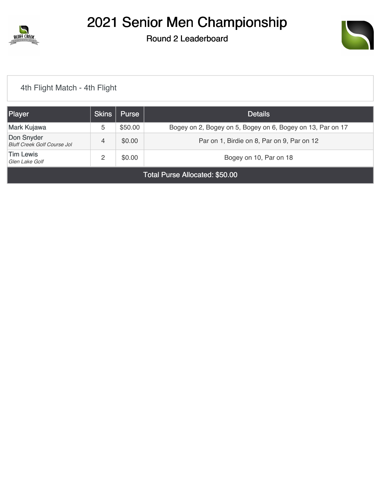

## 2021 Senior Men Championship

### Round 2 Leaderboard



#### [4th Flight Match - 4th Flight](https://cdn2.golfgenius.com/v2tournaments/7705164623204365790?called_from=&round_index=2)

| Player                                           | <b>Skins</b> | Purse   | <b>Details</b>                                             |  |
|--------------------------------------------------|--------------|---------|------------------------------------------------------------|--|
| Mark Kujawa                                      | 5            | \$50.00 | Bogey on 2, Bogey on 5, Bogey on 6, Bogey on 13, Par on 17 |  |
| Don Snyder<br><b>Bluff Creek Golf Course Jol</b> | 4            | \$0.00  | Par on 1, Birdie on 8, Par on 9, Par on 12                 |  |
| <b>Tim Lewis</b><br>Glen Lake Golf               | っ            | \$0.00  | Bogey on 10, Par on 18                                     |  |
| Total Purse Allocated: \$50.00                   |              |         |                                                            |  |